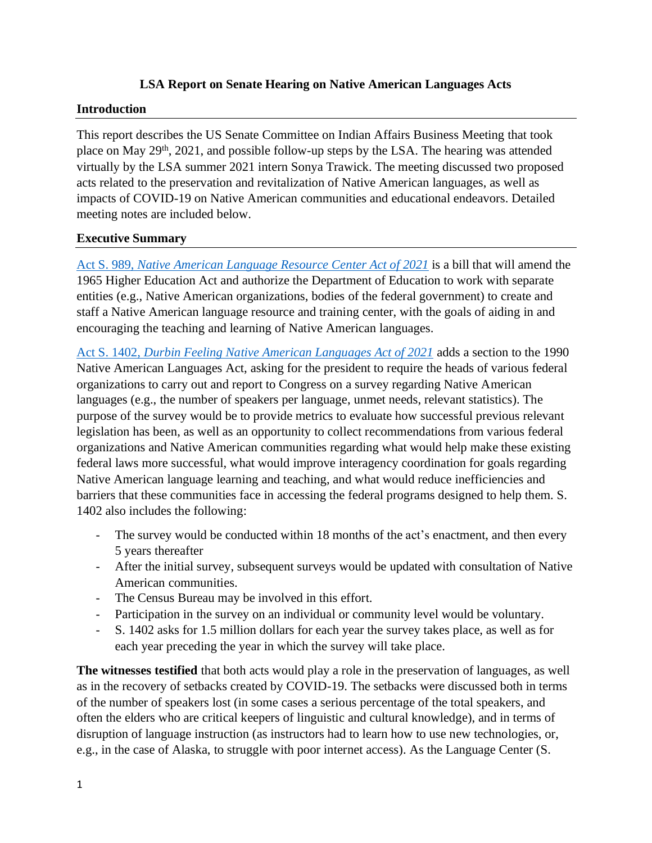#### **LSA Report on Senate Hearing on Native American Languages Acts**

#### **Introduction**

This report describes the US Senate Committee on Indian Affairs Business Meeting that took place on May 29<sup>th</sup>, 2021, and possible follow-up steps by the LSA. The hearing was attended virtually by the LSA summer 2021 intern Sonya Trawick. The meeting discussed two proposed acts related to the preservation and revitalization of Native American languages, as well as impacts of COVID-19 on Native American communities and educational endeavors. Detailed meeting notes are included below.

#### **Executive Summary**

Act S. 989, *[Native American Language Resource Center Act of 2021](https://www.congress.gov/bill/117th-congress/senate-bill/989/text/is?overview=closed&format=xml)* is a bill that will amend the 1965 Higher Education Act and authorize the Department of Education to work with separate entities (e.g., Native American organizations, bodies of the federal government) to create and staff a Native American language resource and training center, with the goals of aiding in and encouraging the teaching and learning of Native American languages.

Act S. 1402, *[Durbin Feeling Native American Languages Act of 2021](https://www.congress.gov/bill/117th-congress/senate-bill/1402/text?r=19&s=1)* adds a section to the 1990 Native American Languages Act, asking for the president to require the heads of various federal organizations to carry out and report to Congress on a survey regarding Native American languages (e.g., the number of speakers per language, unmet needs, relevant statistics). The purpose of the survey would be to provide metrics to evaluate how successful previous relevant legislation has been, as well as an opportunity to collect recommendations from various federal organizations and Native American communities regarding what would help make these existing federal laws more successful, what would improve interagency coordination for goals regarding Native American language learning and teaching, and what would reduce inefficiencies and barriers that these communities face in accessing the federal programs designed to help them. S. 1402 also includes the following:

- The survey would be conducted within 18 months of the act's enactment, and then every 5 years thereafter
- After the initial survey, subsequent surveys would be updated with consultation of Native American communities.
- The Census Bureau may be involved in this effort.
- Participation in the survey on an individual or community level would be voluntary.
- S. 1402 asks for 1.5 million dollars for each year the survey takes place, as well as for each year preceding the year in which the survey will take place.

**The witnesses testified** that both acts would play a role in the preservation of languages, as well as in the recovery of setbacks created by COVID-19. The setbacks were discussed both in terms of the number of speakers lost (in some cases a serious percentage of the total speakers, and often the elders who are critical keepers of linguistic and cultural knowledge), and in terms of disruption of language instruction (as instructors had to learn how to use new technologies, or, e.g., in the case of Alaska, to struggle with poor internet access). As the Language Center (S.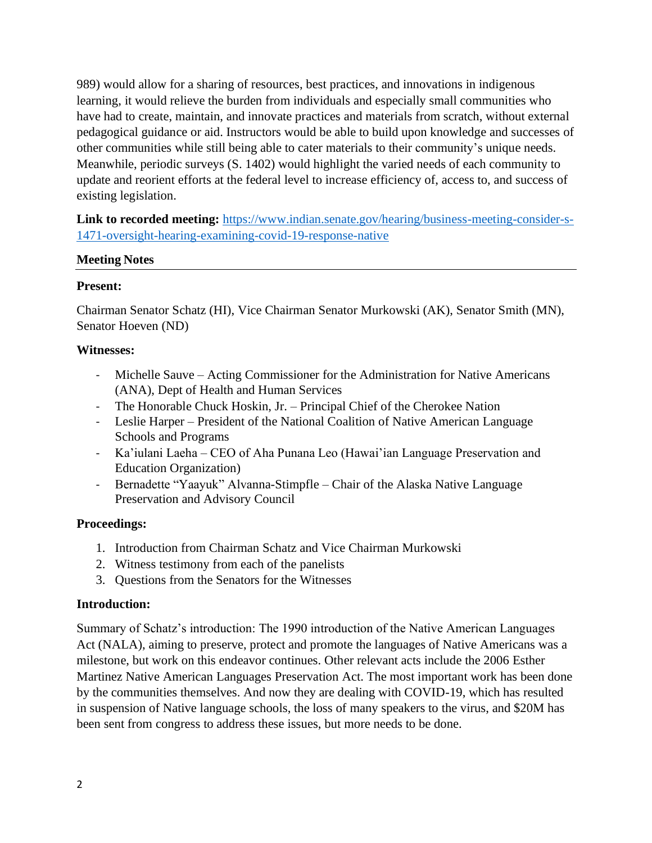989) would allow for a sharing of resources, best practices, and innovations in indigenous learning, it would relieve the burden from individuals and especially small communities who have had to create, maintain, and innovate practices and materials from scratch, without external pedagogical guidance or aid. Instructors would be able to build upon knowledge and successes of other communities while still being able to cater materials to their community's unique needs. Meanwhile, periodic surveys (S. 1402) would highlight the varied needs of each community to update and reorient efforts at the federal level to increase efficiency of, access to, and success of existing legislation.

Link to recorded meeting: [https://www.indian.senate.gov/hearing/business-meeting-consider-s-](https://www.indian.senate.gov/hearing/business-meeting-consider-s-1471-oversight-hearing-examining-covid-19-response-native)[1471-oversight-hearing-examining-covid-19-response-native](https://www.indian.senate.gov/hearing/business-meeting-consider-s-1471-oversight-hearing-examining-covid-19-response-native)

#### **Meeting Notes**

#### **Present:**

Chairman Senator Schatz (HI), Vice Chairman Senator Murkowski (AK), Senator Smith (MN), Senator Hoeven (ND)

### **Witnesses:**

- Michelle Sauve Acting Commissioner for the Administration for Native Americans (ANA), Dept of Health and Human Services
- The Honorable Chuck Hoskin, Jr. Principal Chief of the Cherokee Nation
- Leslie Harper President of the National Coalition of Native American Language Schools and Programs
- Ka'iulani Laeha CEO of Aha Punana Leo (Hawai'ian Language Preservation and Education Organization)
- Bernadette "Yaayuk" Alvanna-Stimpfle Chair of the Alaska Native Language Preservation and Advisory Council

# **Proceedings:**

- 1. Introduction from Chairman Schatz and Vice Chairman Murkowski
- 2. Witness testimony from each of the panelists
- 3. Questions from the Senators for the Witnesses

#### **Introduction:**

Summary of Schatz's introduction: The 1990 introduction of the Native American Languages Act (NALA), aiming to preserve, protect and promote the languages of Native Americans was a milestone, but work on this endeavor continues. Other relevant acts include the 2006 Esther Martinez Native American Languages Preservation Act. The most important work has been done by the communities themselves. And now they are dealing with COVID-19, which has resulted in suspension of Native language schools, the loss of many speakers to the virus, and \$20M has been sent from congress to address these issues, but more needs to be done.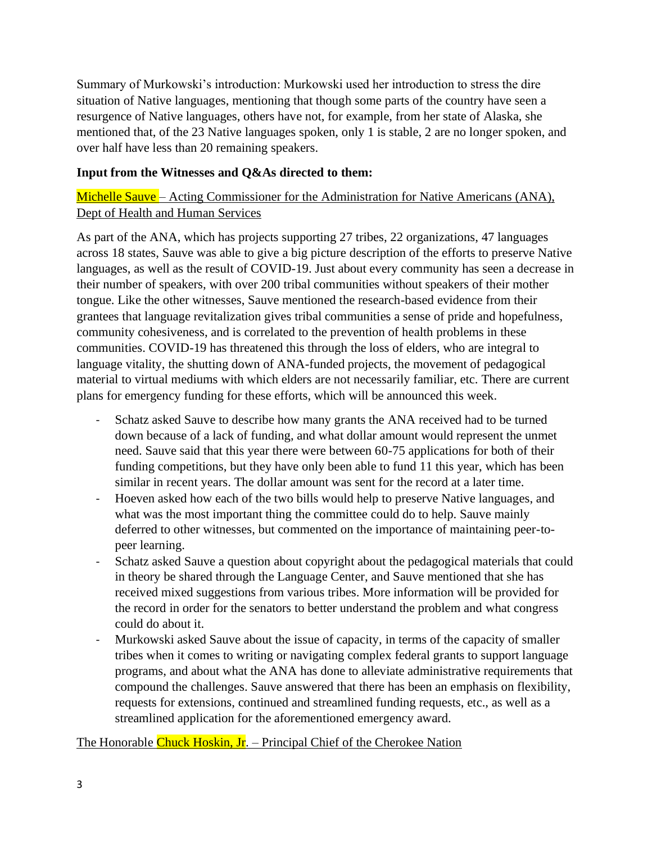Summary of Murkowski's introduction: Murkowski used her introduction to stress the dire situation of Native languages, mentioning that though some parts of the country have seen a resurgence of Native languages, others have not, for example, from her state of Alaska, she mentioned that, of the 23 Native languages spoken, only 1 is stable, 2 are no longer spoken, and over half have less than 20 remaining speakers.

#### **Input from the Witnesses and Q&As directed to them:**

# Michelle Sauve – Acting Commissioner for the Administration for Native Americans (ANA), Dept of Health and Human Services

As part of the ANA, which has projects supporting 27 tribes, 22 organizations, 47 languages across 18 states, Sauve was able to give a big picture description of the efforts to preserve Native languages, as well as the result of COVID-19. Just about every community has seen a decrease in their number of speakers, with over 200 tribal communities without speakers of their mother tongue. Like the other witnesses, Sauve mentioned the research-based evidence from their grantees that language revitalization gives tribal communities a sense of pride and hopefulness, community cohesiveness, and is correlated to the prevention of health problems in these communities. COVID-19 has threatened this through the loss of elders, who are integral to language vitality, the shutting down of ANA-funded projects, the movement of pedagogical material to virtual mediums with which elders are not necessarily familiar, etc. There are current plans for emergency funding for these efforts, which will be announced this week.

- Schatz asked Sauve to describe how many grants the ANA received had to be turned down because of a lack of funding, and what dollar amount would represent the unmet need. Sauve said that this year there were between 60-75 applications for both of their funding competitions, but they have only been able to fund 11 this year, which has been similar in recent years. The dollar amount was sent for the record at a later time.
- Hoeven asked how each of the two bills would help to preserve Native languages, and what was the most important thing the committee could do to help. Sauve mainly deferred to other witnesses, but commented on the importance of maintaining peer-topeer learning.
- Schatz asked Sauve a question about copyright about the pedagogical materials that could in theory be shared through the Language Center, and Sauve mentioned that she has received mixed suggestions from various tribes. More information will be provided for the record in order for the senators to better understand the problem and what congress could do about it.
- Murkowski asked Sauve about the issue of capacity, in terms of the capacity of smaller tribes when it comes to writing or navigating complex federal grants to support language programs, and about what the ANA has done to alleviate administrative requirements that compound the challenges. Sauve answered that there has been an emphasis on flexibility, requests for extensions, continued and streamlined funding requests, etc., as well as a streamlined application for the aforementioned emergency award.

The Honorable Chuck Hoskin, Jr. – Principal Chief of the Cherokee Nation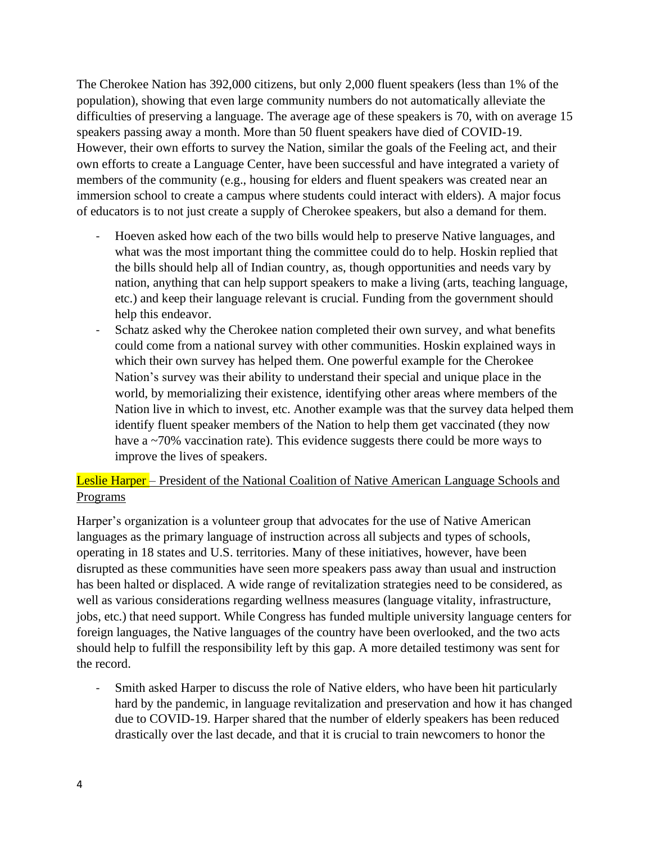The Cherokee Nation has 392,000 citizens, but only 2,000 fluent speakers (less than 1% of the population), showing that even large community numbers do not automatically alleviate the difficulties of preserving a language. The average age of these speakers is 70, with on average 15 speakers passing away a month. More than 50 fluent speakers have died of COVID-19. However, their own efforts to survey the Nation, similar the goals of the Feeling act, and their own efforts to create a Language Center, have been successful and have integrated a variety of members of the community (e.g., housing for elders and fluent speakers was created near an immersion school to create a campus where students could interact with elders). A major focus of educators is to not just create a supply of Cherokee speakers, but also a demand for them.

- Hoeven asked how each of the two bills would help to preserve Native languages, and what was the most important thing the committee could do to help. Hoskin replied that the bills should help all of Indian country, as, though opportunities and needs vary by nation, anything that can help support speakers to make a living (arts, teaching language, etc.) and keep their language relevant is crucial. Funding from the government should help this endeavor.
- Schatz asked why the Cherokee nation completed their own survey, and what benefits could come from a national survey with other communities. Hoskin explained ways in which their own survey has helped them. One powerful example for the Cherokee Nation's survey was their ability to understand their special and unique place in the world, by memorializing their existence, identifying other areas where members of the Nation live in which to invest, etc. Another example was that the survey data helped them identify fluent speaker members of the Nation to help them get vaccinated (they now have a ~70% vaccination rate). This evidence suggests there could be more ways to improve the lives of speakers.

## Leslie Harper – President of the National Coalition of Native American Language Schools and **Programs**

Harper's organization is a volunteer group that advocates for the use of Native American languages as the primary language of instruction across all subjects and types of schools, operating in 18 states and U.S. territories. Many of these initiatives, however, have been disrupted as these communities have seen more speakers pass away than usual and instruction has been halted or displaced. A wide range of revitalization strategies need to be considered, as well as various considerations regarding wellness measures (language vitality, infrastructure, jobs, etc.) that need support. While Congress has funded multiple university language centers for foreign languages, the Native languages of the country have been overlooked, and the two acts should help to fulfill the responsibility left by this gap. A more detailed testimony was sent for the record.

- Smith asked Harper to discuss the role of Native elders, who have been hit particularly hard by the pandemic, in language revitalization and preservation and how it has changed due to COVID-19. Harper shared that the number of elderly speakers has been reduced drastically over the last decade, and that it is crucial to train newcomers to honor the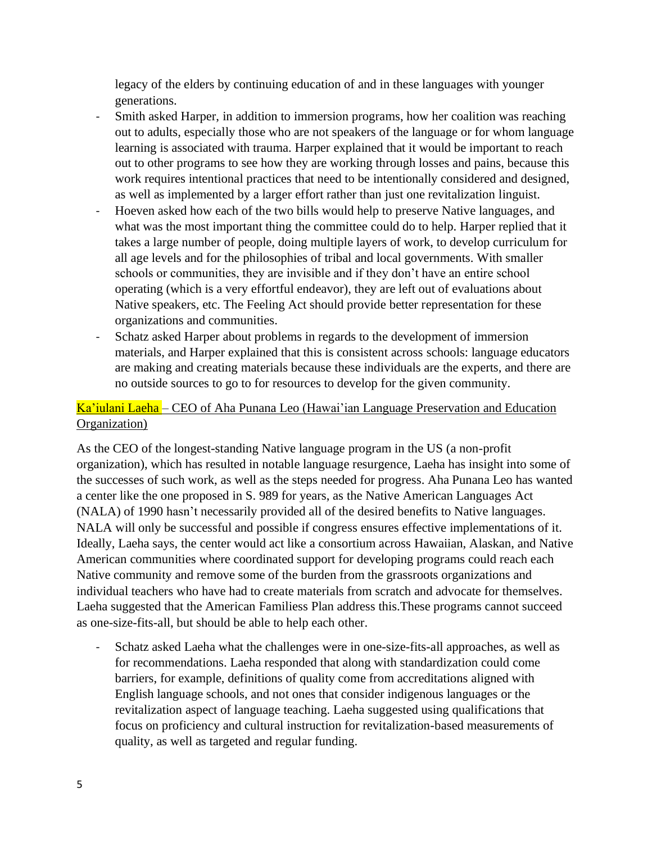legacy of the elders by continuing education of and in these languages with younger generations.

- Smith asked Harper, in addition to immersion programs, how her coalition was reaching out to adults, especially those who are not speakers of the language or for whom language learning is associated with trauma. Harper explained that it would be important to reach out to other programs to see how they are working through losses and pains, because this work requires intentional practices that need to be intentionally considered and designed, as well as implemented by a larger effort rather than just one revitalization linguist.
- Hoeven asked how each of the two bills would help to preserve Native languages, and what was the most important thing the committee could do to help. Harper replied that it takes a large number of people, doing multiple layers of work, to develop curriculum for all age levels and for the philosophies of tribal and local governments. With smaller schools or communities, they are invisible and if they don't have an entire school operating (which is a very effortful endeavor), they are left out of evaluations about Native speakers, etc. The Feeling Act should provide better representation for these organizations and communities.
- Schatz asked Harper about problems in regards to the development of immersion materials, and Harper explained that this is consistent across schools: language educators are making and creating materials because these individuals are the experts, and there are no outside sources to go to for resources to develop for the given community.

# Ka'iulani Laeha – CEO of Aha Punana Leo (Hawai'ian Language Preservation and Education Organization)

As the CEO of the longest-standing Native language program in the US (a non-profit organization), which has resulted in notable language resurgence, Laeha has insight into some of the successes of such work, as well as the steps needed for progress. Aha Punana Leo has wanted a center like the one proposed in S. 989 for years, as the Native American Languages Act (NALA) of 1990 hasn't necessarily provided all of the desired benefits to Native languages. NALA will only be successful and possible if congress ensures effective implementations of it. Ideally, Laeha says, the center would act like a consortium across Hawaiian, Alaskan, and Native American communities where coordinated support for developing programs could reach each Native community and remove some of the burden from the grassroots organizations and individual teachers who have had to create materials from scratch and advocate for themselves. Laeha suggested that the American Familiess Plan address this.These programs cannot succeed as one-size-fits-all, but should be able to help each other.

- Schatz asked Laeha what the challenges were in one-size-fits-all approaches, as well as for recommendations. Laeha responded that along with standardization could come barriers, for example, definitions of quality come from accreditations aligned with English language schools, and not ones that consider indigenous languages or the revitalization aspect of language teaching. Laeha suggested using qualifications that focus on proficiency and cultural instruction for revitalization-based measurements of quality, as well as targeted and regular funding.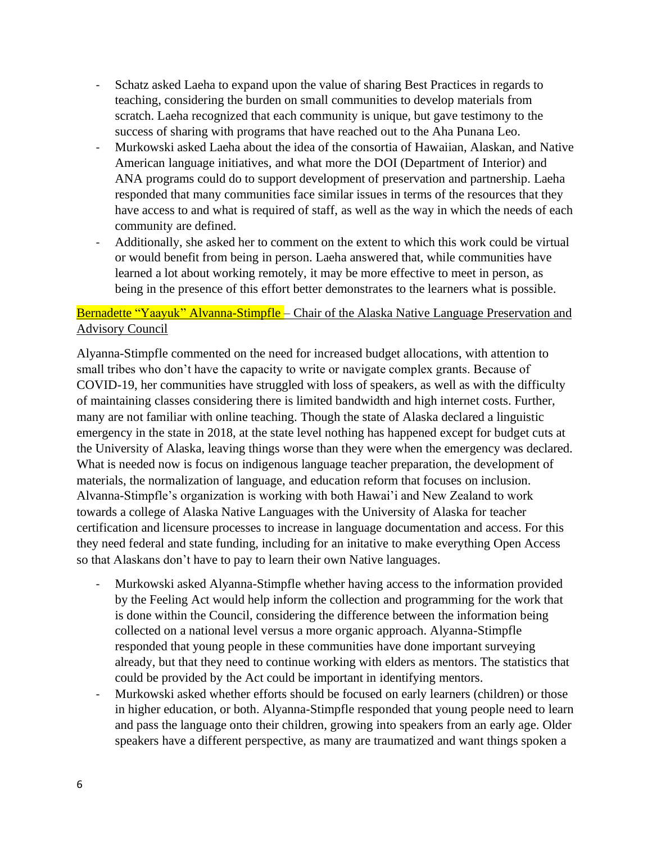- Schatz asked Laeha to expand upon the value of sharing Best Practices in regards to teaching, considering the burden on small communities to develop materials from scratch. Laeha recognized that each community is unique, but gave testimony to the success of sharing with programs that have reached out to the Aha Punana Leo.
- Murkowski asked Laeha about the idea of the consortia of Hawaiian, Alaskan, and Native American language initiatives, and what more the DOI (Department of Interior) and ANA programs could do to support development of preservation and partnership. Laeha responded that many communities face similar issues in terms of the resources that they have access to and what is required of staff, as well as the way in which the needs of each community are defined.
- Additionally, she asked her to comment on the extent to which this work could be virtual or would benefit from being in person. Laeha answered that, while communities have learned a lot about working remotely, it may be more effective to meet in person, as being in the presence of this effort better demonstrates to the learners what is possible.

## Bernadette "Yaayuk" Alvanna-Stimpfle – Chair of the Alaska Native Language Preservation and Advisory Council

Alyanna-Stimpfle commented on the need for increased budget allocations, with attention to small tribes who don't have the capacity to write or navigate complex grants. Because of COVID-19, her communities have struggled with loss of speakers, as well as with the difficulty of maintaining classes considering there is limited bandwidth and high internet costs. Further, many are not familiar with online teaching. Though the state of Alaska declared a linguistic emergency in the state in 2018, at the state level nothing has happened except for budget cuts at the University of Alaska, leaving things worse than they were when the emergency was declared. What is needed now is focus on indigenous language teacher preparation, the development of materials, the normalization of language, and education reform that focuses on inclusion. Alvanna-Stimpfle's organization is working with both Hawai'i and New Zealand to work towards a college of Alaska Native Languages with the University of Alaska for teacher certification and licensure processes to increase in language documentation and access. For this they need federal and state funding, including for an initative to make everything Open Access so that Alaskans don't have to pay to learn their own Native languages.

- Murkowski asked Alyanna-Stimpfle whether having access to the information provided by the Feeling Act would help inform the collection and programming for the work that is done within the Council, considering the difference between the information being collected on a national level versus a more organic approach. Alyanna-Stimpfle responded that young people in these communities have done important surveying already, but that they need to continue working with elders as mentors. The statistics that could be provided by the Act could be important in identifying mentors.
- Murkowski asked whether efforts should be focused on early learners (children) or those in higher education, or both. Alyanna-Stimpfle responded that young people need to learn and pass the language onto their children, growing into speakers from an early age. Older speakers have a different perspective, as many are traumatized and want things spoken a